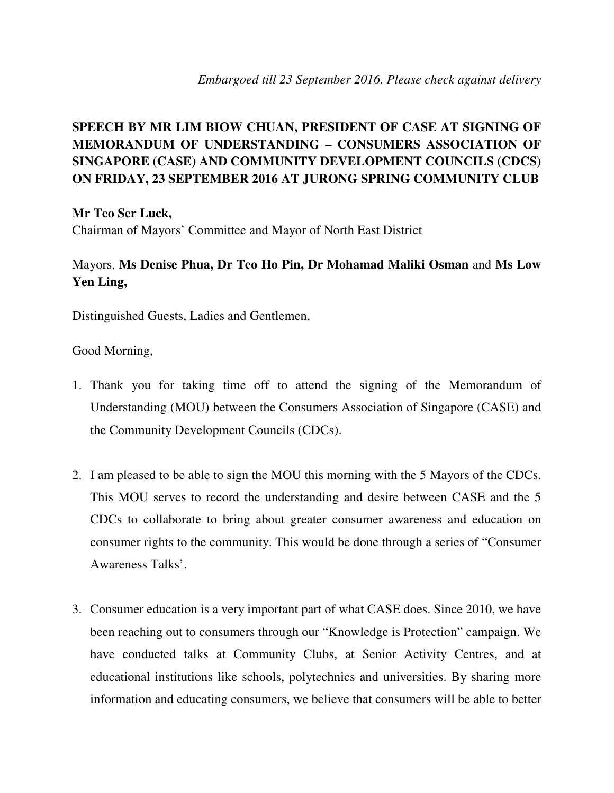## **SPEECH BY MR LIM BIOW CHUAN, PRESIDENT OF CASE AT SIGNING OF MEMORANDUM OF UNDERSTANDING – CONSUMERS ASSOCIATION OF SINGAPORE (CASE) AND COMMUNITY DEVELOPMENT COUNCILS (CDCS) ON FRIDAY, 23 SEPTEMBER 2016 AT JURONG SPRING COMMUNITY CLUB**

**Mr Teo Ser Luck,** 

Chairman of Mayors' Committee and Mayor of North East District

## Mayors, **Ms Denise Phua, Dr Teo Ho Pin, Dr Mohamad Maliki Osman** and **Ms Low Yen Ling,**

Distinguished Guests, Ladies and Gentlemen,

Good Morning,

- 1. Thank you for taking time off to attend the signing of the Memorandum of Understanding (MOU) between the Consumers Association of Singapore (CASE) and the Community Development Councils (CDCs).
- 2. I am pleased to be able to sign the MOU this morning with the 5 Mayors of the CDCs. This MOU serves to record the understanding and desire between CASE and the 5 CDCs to collaborate to bring about greater consumer awareness and education on consumer rights to the community. This would be done through a series of "Consumer Awareness Talks'.
- 3. Consumer education is a very important part of what CASE does. Since 2010, we have been reaching out to consumers through our "Knowledge is Protection" campaign. We have conducted talks at Community Clubs, at Senior Activity Centres, and at educational institutions like schools, polytechnics and universities. By sharing more information and educating consumers, we believe that consumers will be able to better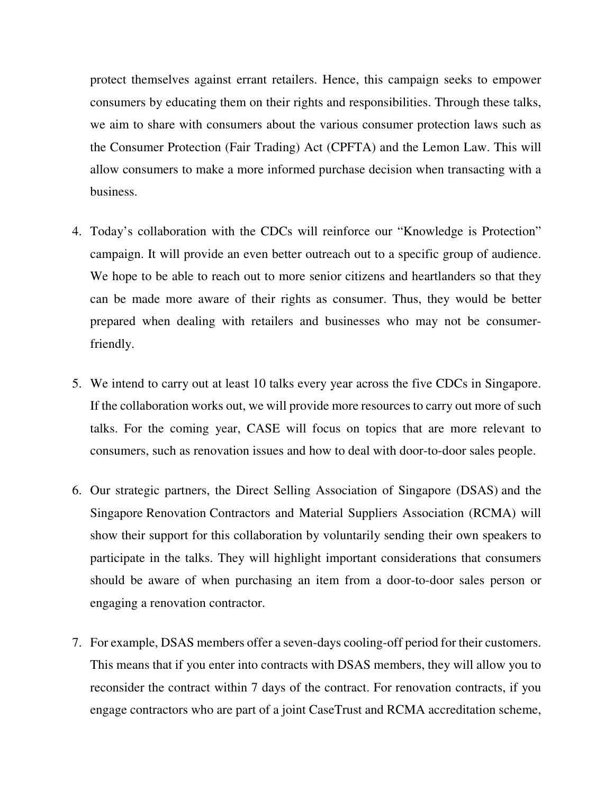protect themselves against errant retailers. Hence, this campaign seeks to empower consumers by educating them on their rights and responsibilities. Through these talks, we aim to share with consumers about the various consumer protection laws such as the Consumer Protection (Fair Trading) Act (CPFTA) and the Lemon Law. This will allow consumers to make a more informed purchase decision when transacting with a business.

- 4. Today's collaboration with the CDCs will reinforce our "Knowledge is Protection" campaign. It will provide an even better outreach out to a specific group of audience. We hope to be able to reach out to more senior citizens and heartlanders so that they can be made more aware of their rights as consumer. Thus, they would be better prepared when dealing with retailers and businesses who may not be consumerfriendly.
- 5. We intend to carry out at least 10 talks every year across the five CDCs in Singapore. If the collaboration works out, we will provide more resources to carry out more of such talks. For the coming year, CASE will focus on topics that are more relevant to consumers, such as renovation issues and how to deal with door-to-door sales people.
- 6. Our strategic partners, the Direct Selling Association of Singapore (DSAS) and the Singapore Renovation Contractors and Material Suppliers Association (RCMA) will show their support for this collaboration by voluntarily sending their own speakers to participate in the talks. They will highlight important considerations that consumers should be aware of when purchasing an item from a door-to-door sales person or engaging a renovation contractor.
- 7. For example, DSAS members offer a seven-days cooling-off period for their customers. This means that if you enter into contracts with DSAS members, they will allow you to reconsider the contract within 7 days of the contract. For renovation contracts, if you engage contractors who are part of a joint CaseTrust and RCMA accreditation scheme,